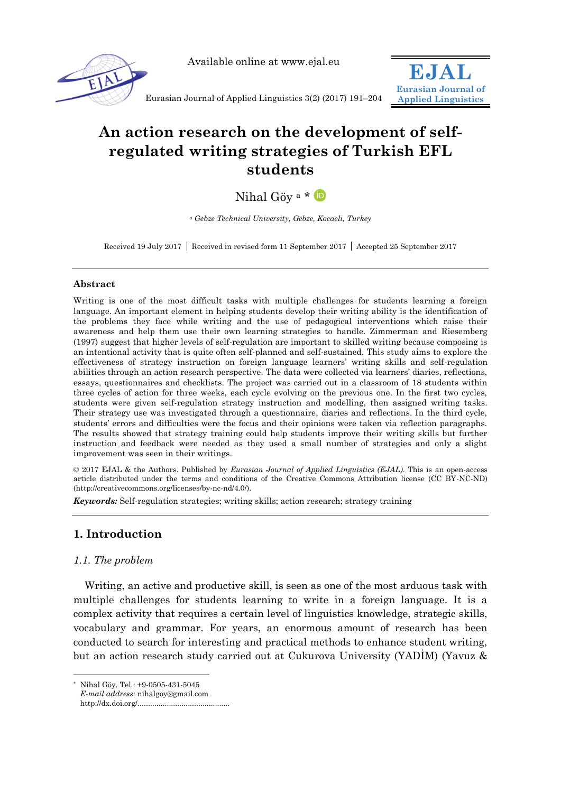

Available online at www.ejal.eu



Eurasian Journal of Applied Linguistics 3(2) (2017) 191–204

# **An action research on the development of selfregulated writing strategies of Turkish EFL students**

Nihal Göy<sup>a</sup> \* D

*<sup>a</sup> Gebze Technical University, Gebze, Kocaeli, Turkey*

Received 19 July 2017 Received in revised form 11 September 2017 Accepted 25 September 2017

## **Abstract**

Writing is one of the most difficult tasks with multiple challenges for students learning a foreign language. An important element in helping students develop their writing ability is the identification of the problems they face while writing and the use of pedagogical interventions which raise their awareness and help them use their own learning strategies to handle. Zimmerman and Riesemberg (1997) suggest that higher levels of self-regulation are important to skilled writing because composing is an intentional activity that is quite often self-planned and self-sustained. This study aims to explore the effectiveness of strategy instruction on foreign language learners' writing skills and self-regulation abilities through an action research perspective. The data were collected via learners' diaries, reflections, essays, questionnaires and checklists. The project was carried out in a classroom of 18 students within three cycles of action for three weeks, each cycle evolving on the previous one. In the first two cycles, students were given self-regulation strategy instruction and modelling, then assigned writing tasks. Their strategy use was investigated through a questionnaire, diaries and reflections. In the third cycle, students' errors and difficulties were the focus and their opinions were taken via reflection paragraphs. The results showed that strategy training could help students improve their writing skills but further instruction and feedback were needed as they used a small number of strategies and only a slight improvement was seen in their writings.

© 2017 EJAL & the Authors. Published by *Eurasian Journal of Applied Linguistics (EJAL)*. This is an open-access article distributed under the terms and conditions of the Creative Commons Attribution license (CC BY-NC-ND) (http://creativecommons.org/licenses/by-nc-nd/4.0/).

*Keywords:* Self-regulation strategies; writing skills; action research; strategy training

# **1. Introduction**

# *1.1. The problem*

-

Writing, an active and productive skill, is seen as one of the most arduous task with multiple challenges for students learning to write in a foreign language. It is a complex activity that requires a certain level of linguistics knowledge, strategic skills, vocabulary and grammar. For years, an enormous amount of research has been conducted to search for interesting and practical methods to enhance student writing, but an action research study carried out at Cukurova University (YADİM) (Yavuz &

Nihal Göy. Tel.: +9-0505-431-5045 *E-mail address*: nihalgoy@gmail.com http://dx.doi.org/............................................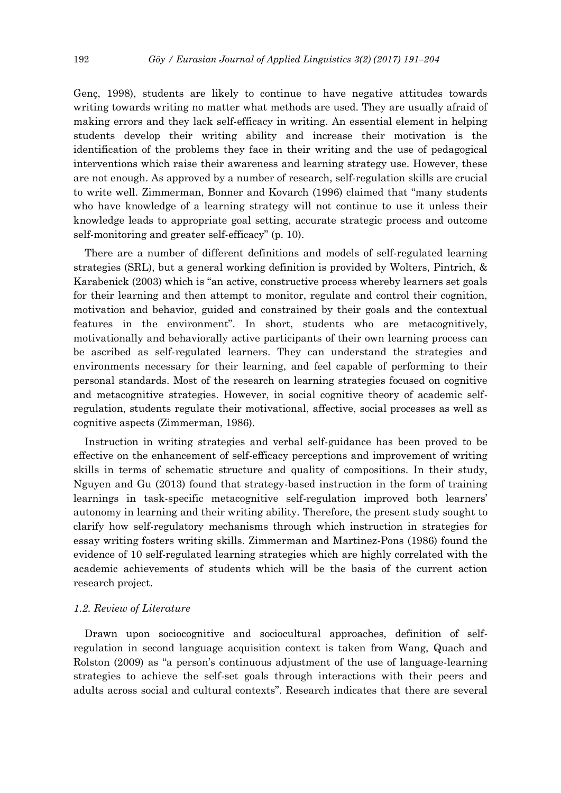Genç, 1998), students are likely to continue to have negative attitudes towards writing towards writing no matter what methods are used. They are usually afraid of making errors and they lack self-efficacy in writing. An essential element in helping students develop their writing ability and increase their motivation is the identification of the problems they face in their writing and the use of pedagogical interventions which raise their awareness and learning strategy use. However, these are not enough. As approved by a number of research, self-regulation skills are crucial to write well. Zimmerman, Bonner and Kovarch (1996) claimed that "many students who have knowledge of a learning strategy will not continue to use it unless their knowledge leads to appropriate goal setting, accurate strategic process and outcome self-monitoring and greater self-efficacy" (p. 10).

There are a number of different definitions and models of self-regulated learning strategies (SRL), but a general working definition is provided by Wolters, Pintrich, & Karabenick (2003) which is "an active, constructive process whereby learners set goals for their learning and then attempt to monitor, regulate and control their cognition, motivation and behavior, guided and constrained by their goals and the contextual features in the environment". In short, students who are metacognitively, motivationally and behaviorally active participants of their own learning process can be ascribed as self-regulated learners. They can understand the strategies and environments necessary for their learning, and feel capable of performing to their personal standards. Most of the research on learning strategies focused on cognitive and metacognitive strategies. However, in social cognitive theory of academic selfregulation, students regulate their motivational, affective, social processes as well as cognitive aspects (Zimmerman, 1986).

Instruction in writing strategies and verbal self-guidance has been proved to be effective on the enhancement of self-efficacy perceptions and improvement of writing skills in terms of schematic structure and quality of compositions. In their study, Nguyen and Gu (2013) found that strategy-based instruction in the form of training learnings in task-specific metacognitive self-regulation improved both learners' autonomy in learning and their writing ability. Therefore, the present study sought to clarify how self-regulatory mechanisms through which instruction in strategies for essay writing fosters writing skills. Zimmerman and Martinez-Pons (1986) found the evidence of 10 self-regulated learning strategies which are highly correlated with the academic achievements of students which will be the basis of the current action research project.

## *1.2. Review of Literature*

Drawn upon sociocognitive and sociocultural approaches, definition of selfregulation in second language acquisition context is taken from Wang, Quach and Rolston (2009) as "a person's continuous adjustment of the use of language-learning strategies to achieve the self-set goals through interactions with their peers and adults across social and cultural contexts". Research indicates that there are several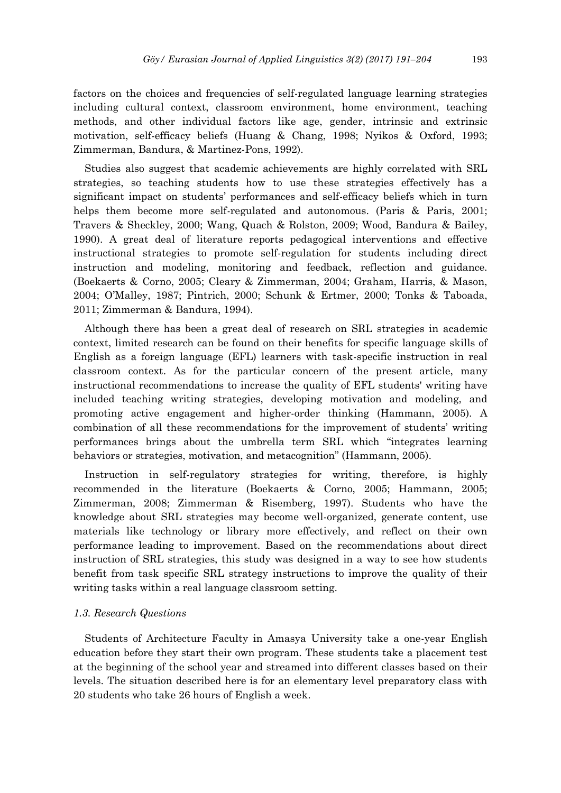factors on the choices and frequencies of self-regulated language learning strategies including cultural context, classroom environment, home environment, teaching methods, and other individual factors like age, gender, intrinsic and extrinsic motivation, self-efficacy beliefs (Huang & Chang, 1998; Nyikos & Oxford, 1993; Zimmerman, Bandura, & Martinez-Pons, 1992).

Studies also suggest that academic achievements are highly correlated with SRL strategies, so teaching students how to use these strategies effectively has a significant impact on students' performances and self-efficacy beliefs which in turn helps them become more self-regulated and autonomous. (Paris & Paris, 2001; Travers & Sheckley, 2000; Wang, Quach & Rolston, 2009; Wood, Bandura & Bailey, 1990). A great deal of literature reports pedagogical interventions and effective instructional strategies to promote self-regulation for students including direct instruction and modeling, monitoring and feedback, reflection and guidance. (Boekaerts & Corno, 2005; Cleary & Zimmerman, 2004; Graham, Harris, & Mason, 2004; O'Malley, 1987; Pintrich, 2000; Schunk & Ertmer, 2000; Tonks & Taboada, 2011; Zimmerman & Bandura, 1994).

Although there has been a great deal of research on SRL strategies in academic context, limited research can be found on their benefits for specific language skills of English as a foreign language (EFL) learners with task-specific instruction in real classroom context. As for the particular concern of the present article, many instructional recommendations to increase the quality of EFL students' writing have included teaching writing strategies, developing motivation and modeling, and promoting active engagement and higher-order thinking (Hammann, 2005). A combination of all these recommendations for the improvement of students' writing performances brings about the umbrella term SRL which "integrates learning behaviors or strategies, motivation, and metacognition" (Hammann, 2005).

Instruction in self-regulatory strategies for writing, therefore, is highly recommended in the literature (Boekaerts & Corno, 2005; Hammann, 2005; Zimmerman, 2008; Zimmerman & Risemberg, 1997). Students who have the knowledge about SRL strategies may become well-organized, generate content, use materials like technology or library more effectively, and reflect on their own performance leading to improvement. Based on the recommendations about direct instruction of SRL strategies, this study was designed in a way to see how students benefit from task specific SRL strategy instructions to improve the quality of their writing tasks within a real language classroom setting.

# *1.3. Research Questions*

Students of Architecture Faculty in Amasya University take a one-year English education before they start their own program. These students take a placement test at the beginning of the school year and streamed into different classes based on their levels. The situation described here is for an elementary level preparatory class with 20 students who take 26 hours of English a week.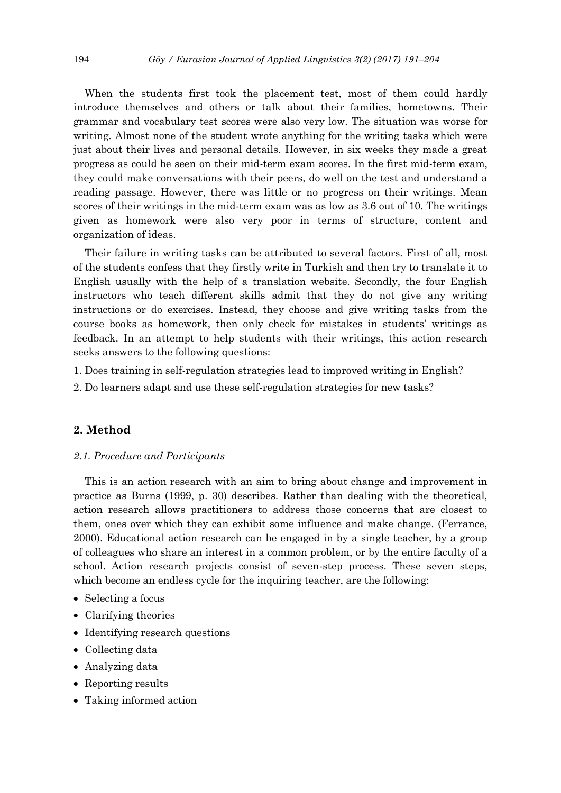When the students first took the placement test, most of them could hardly introduce themselves and others or talk about their families, hometowns. Their grammar and vocabulary test scores were also very low. The situation was worse for writing. Almost none of the student wrote anything for the writing tasks which were just about their lives and personal details. However, in six weeks they made a great progress as could be seen on their mid-term exam scores. In the first mid-term exam, they could make conversations with their peers, do well on the test and understand a reading passage. However, there was little or no progress on their writings. Mean scores of their writings in the mid-term exam was as low as 3.6 out of 10. The writings given as homework were also very poor in terms of structure, content and organization of ideas.

Their failure in writing tasks can be attributed to several factors. First of all, most of the students confess that they firstly write in Turkish and then try to translate it to English usually with the help of a translation website. Secondly, the four English instructors who teach different skills admit that they do not give any writing instructions or do exercises. Instead, they choose and give writing tasks from the course books as homework, then only check for mistakes in students' writings as feedback. In an attempt to help students with their writings, this action research seeks answers to the following questions:

- 1. Does training in self-regulation strategies lead to improved writing in English?
- 2. Do learners adapt and use these self-regulation strategies for new tasks?

# **2. Method**

#### *2.1. Procedure and Participants*

This is an action research with an aim to bring about change and improvement in practice as Burns (1999, p. 30) describes. Rather than dealing with the theoretical, action research allows practitioners to address those concerns that are closest to them, ones over which they can exhibit some influence and make change. (Ferrance, 2000). Educational action research can be engaged in by a single teacher, by a group of colleagues who share an interest in a common problem, or by the entire faculty of a school. Action research projects consist of seven-step process. These seven steps, which become an endless cycle for the inquiring teacher, are the following:

- Selecting a focus
- Clarifying theories
- Identifying research questions
- Collecting data
- Analyzing data
- Reporting results
- Taking informed action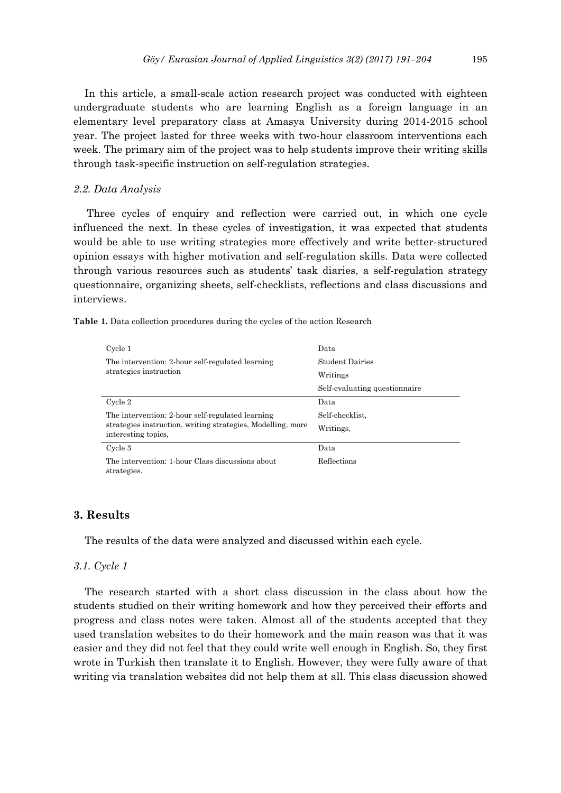In this article, a small-scale action research project was conducted with eighteen undergraduate students who are learning English as a foreign language in an elementary level preparatory class at Amasya University during 2014-2015 school year. The project lasted for three weeks with two-hour classroom interventions each week. The primary aim of the project was to help students improve their writing skills through task-specific instruction on self-regulation strategies.

## *2.2. Data Analysis*

Three cycles of enquiry and reflection were carried out, in which one cycle influenced the next. In these cycles of investigation, it was expected that students would be able to use writing strategies more effectively and write better-structured opinion essays with higher motivation and self-regulation skills. Data were collected through various resources such as students' task diaries, a self-regulation strategy questionnaire, organizing sheets, self-checklists, reflections and class discussions and interviews.

|  |  |  | Table 1. Data collection procedures during the cycles of the action Research |  |  |  |  |  |  |  |
|--|--|--|------------------------------------------------------------------------------|--|--|--|--|--|--|--|
|--|--|--|------------------------------------------------------------------------------|--|--|--|--|--|--|--|

| Cycle 1                                                                            | Data                          |  |  |  |  |
|------------------------------------------------------------------------------------|-------------------------------|--|--|--|--|
| The intervention: 2 hour self-regulated learning                                   | <b>Student Dairies</b>        |  |  |  |  |
| strategies instruction                                                             | Writings                      |  |  |  |  |
|                                                                                    | Self-evaluating questionnaire |  |  |  |  |
| Cycle 2                                                                            | Data                          |  |  |  |  |
| The intervention: 2-hour self-regulated learning                                   | Self-checklist.               |  |  |  |  |
| strategies instruction, writing strategies, Modelling, more<br>interesting topics. | Writings.                     |  |  |  |  |
| Cycle 3                                                                            | Data                          |  |  |  |  |
| The intervention: 1-hour Class discussions about<br>strategies.                    | Reflections                   |  |  |  |  |

# **3. Results**

The results of the data were analyzed and discussed within each cycle.

#### *3.1. Cycle 1*

The research started with a short class discussion in the class about how the students studied on their writing homework and how they perceived their efforts and progress and class notes were taken. Almost all of the students accepted that they used translation websites to do their homework and the main reason was that it was easier and they did not feel that they could write well enough in English. So, they first wrote in Turkish then translate it to English. However, they were fully aware of that writing via translation websites did not help them at all. This class discussion showed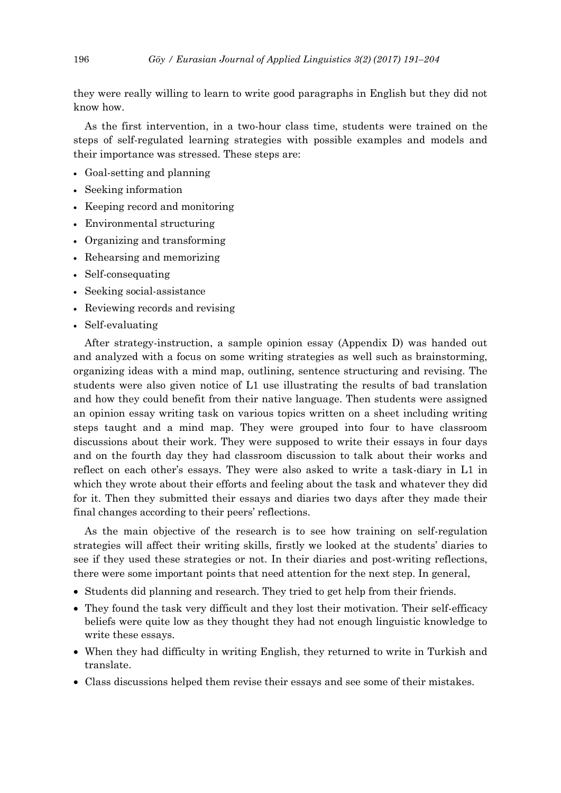they were really willing to learn to write good paragraphs in English but they did not know how.

As the first intervention, in a two-hour class time, students were trained on the steps of self-regulated learning strategies with possible examples and models and their importance was stressed. These steps are:

- Goal-setting and planning
- Seeking information
- Keeping record and monitoring
- Environmental structuring
- Organizing and transforming
- Rehearsing and memorizing
- Self-consequating
- Seeking social-assistance
- Reviewing records and revising
- Self-evaluating

After strategy-instruction, a sample opinion essay (Appendix D) was handed out and analyzed with a focus on some writing strategies as well such as brainstorming, organizing ideas with a mind map, outlining, sentence structuring and revising. The students were also given notice of L1 use illustrating the results of bad translation and how they could benefit from their native language. Then students were assigned an opinion essay writing task on various topics written on a sheet including writing steps taught and a mind map. They were grouped into four to have classroom discussions about their work. They were supposed to write their essays in four days and on the fourth day they had classroom discussion to talk about their works and reflect on each other's essays. They were also asked to write a task-diary in L1 in which they wrote about their efforts and feeling about the task and whatever they did for it. Then they submitted their essays and diaries two days after they made their final changes according to their peers' reflections.

As the main objective of the research is to see how training on self-regulation strategies will affect their writing skills, firstly we looked at the students' diaries to see if they used these strategies or not. In their diaries and post-writing reflections, there were some important points that need attention for the next step. In general,

- Students did planning and research. They tried to get help from their friends.
- They found the task very difficult and they lost their motivation. Their self-efficacy beliefs were quite low as they thought they had not enough linguistic knowledge to write these essays.
- When they had difficulty in writing English, they returned to write in Turkish and translate.
- Class discussions helped them revise their essays and see some of their mistakes.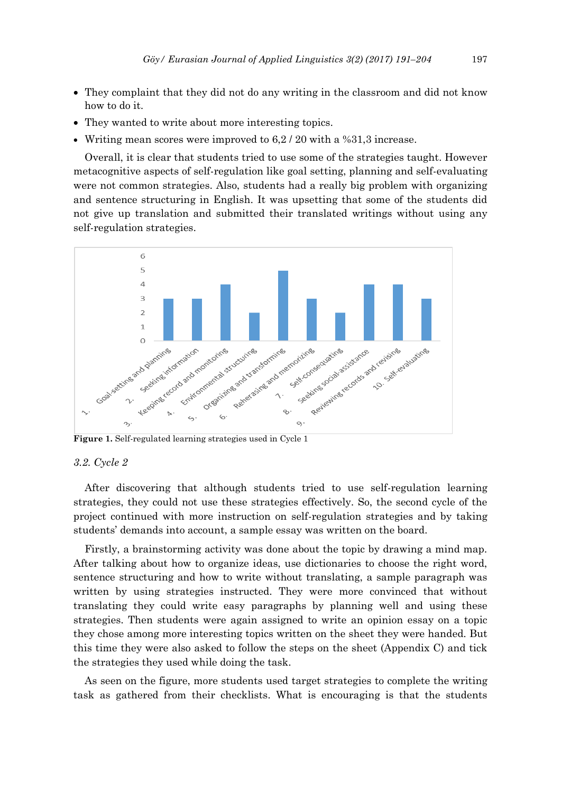- They complaint that they did not do any writing in the classroom and did not know how to do it.
- They wanted to write about more interesting topics.
- Writing mean scores were improved to 6,2 / 20 with a %31,3 increase.

Overall, it is clear that students tried to use some of the strategies taught. However metacognitive aspects of self-regulation like goal setting, planning and self-evaluating were not common strategies. Also, students had a really big problem with organizing and sentence structuring in English. It was upsetting that some of the students did not give up translation and submitted their translated writings without using any self-regulation strategies.



**Figure 1.** Self-regulated learning strategies used in Cycle 1

#### *3.2. Cycle 2*

After discovering that although students tried to use self-regulation learning strategies, they could not use these strategies effectively. So, the second cycle of the project continued with more instruction on self-regulation strategies and by taking students' demands into account, a sample essay was written on the board.

Firstly, a brainstorming activity was done about the topic by drawing a mind map. After talking about how to organize ideas, use dictionaries to choose the right word, sentence structuring and how to write without translating, a sample paragraph was written by using strategies instructed. They were more convinced that without translating they could write easy paragraphs by planning well and using these strategies. Then students were again assigned to write an opinion essay on a topic they chose among more interesting topics written on the sheet they were handed. But this time they were also asked to follow the steps on the sheet (Appendix C) and tick the strategies they used while doing the task.

As seen on the figure, more students used target strategies to complete the writing task as gathered from their checklists. What is encouraging is that the students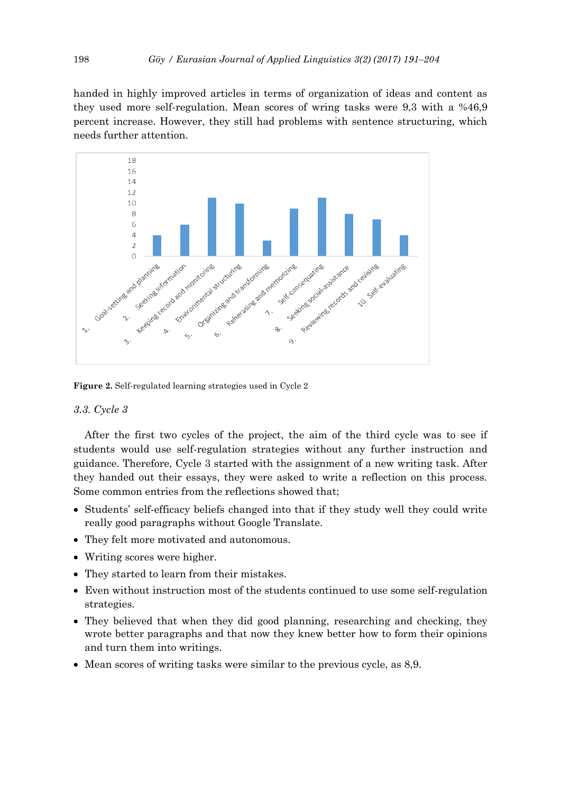handed in highly improved articles in terms of organization of ideas and content as they used more self-regulation. Mean scores of wring tasks were 9,3 with a %46,9 percent increase. However, they still had problems with sentence structuring, which needs further attention.



**Figure 2.** Self-regulated learning strategies used in Cycle 2

#### *3.3. Cycle 3*

After the first two cycles of the project, the aim of the third cycle was to see if students would use self-regulation strategies without any further instruction and guidance. Therefore, Cycle 3 started with the assignment of a new writing task. After they handed out their essays, they were asked to write a reflection on this process. Some common entries from the reflections showed that;

- Students' self-efficacy beliefs changed into that if they study well they could write really good paragraphs without Google Translate.
- They felt more motivated and autonomous.
- Writing scores were higher.
- They started to learn from their mistakes.
- Even without instruction most of the students continued to use some self-regulation strategies.
- They believed that when they did good planning, researching and checking, they wrote better paragraphs and that now they knew better how to form their opinions and turn them into writings.
- Mean scores of writing tasks were similar to the previous cycle, as 8,9.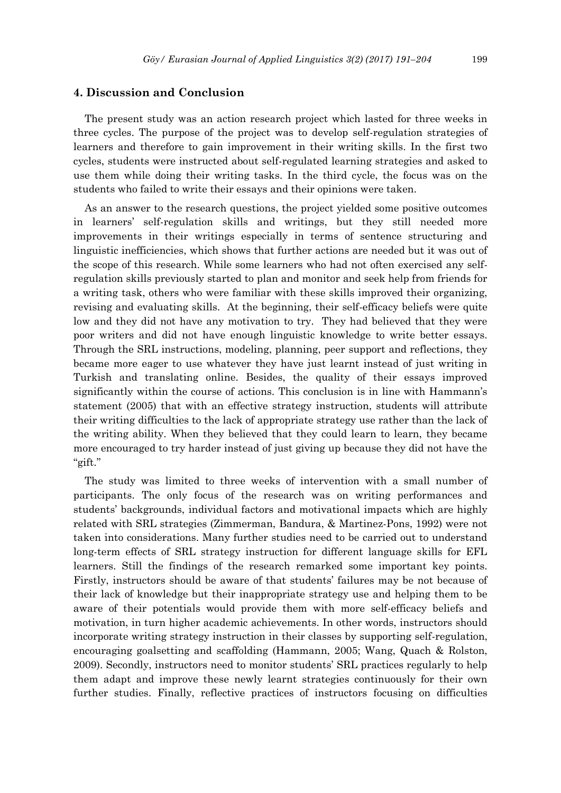# **4. Discussion and Conclusion**

The present study was an action research project which lasted for three weeks in three cycles. The purpose of the project was to develop self-regulation strategies of learners and therefore to gain improvement in their writing skills. In the first two cycles, students were instructed about self-regulated learning strategies and asked to use them while doing their writing tasks. In the third cycle, the focus was on the students who failed to write their essays and their opinions were taken.

As an answer to the research questions, the project yielded some positive outcomes in learners' self-regulation skills and writings, but they still needed more improvements in their writings especially in terms of sentence structuring and linguistic inefficiencies, which shows that further actions are needed but it was out of the scope of this research. While some learners who had not often exercised any selfregulation skills previously started to plan and monitor and seek help from friends for a writing task, others who were familiar with these skills improved their organizing, revising and evaluating skills. At the beginning, their self-efficacy beliefs were quite low and they did not have any motivation to try. They had believed that they were poor writers and did not have enough linguistic knowledge to write better essays. Through the SRL instructions, modeling, planning, peer support and reflections, they became more eager to use whatever they have just learnt instead of just writing in Turkish and translating online. Besides, the quality of their essays improved significantly within the course of actions. This conclusion is in line with Hammann's statement (2005) that with an effective strategy instruction, students will attribute their writing difficulties to the lack of appropriate strategy use rather than the lack of the writing ability. When they believed that they could learn to learn, they became more encouraged to try harder instead of just giving up because they did not have the "gift."

The study was limited to three weeks of intervention with a small number of participants. The only focus of the research was on writing performances and students' backgrounds, individual factors and motivational impacts which are highly related with SRL strategies (Zimmerman, Bandura, & Martinez-Pons, 1992) were not taken into considerations. Many further studies need to be carried out to understand long-term effects of SRL strategy instruction for different language skills for EFL learners. Still the findings of the research remarked some important key points. Firstly, instructors should be aware of that students' failures may be not because of their lack of knowledge but their inappropriate strategy use and helping them to be aware of their potentials would provide them with more self-efficacy beliefs and motivation, in turn higher academic achievements. In other words, instructors should incorporate writing strategy instruction in their classes by supporting self-regulation, encouraging goalsetting and scaffolding (Hammann, 2005; Wang, Quach & Rolston, 2009). Secondly, instructors need to monitor students' SRL practices regularly to help them adapt and improve these newly learnt strategies continuously for their own further studies. Finally, reflective practices of instructors focusing on difficulties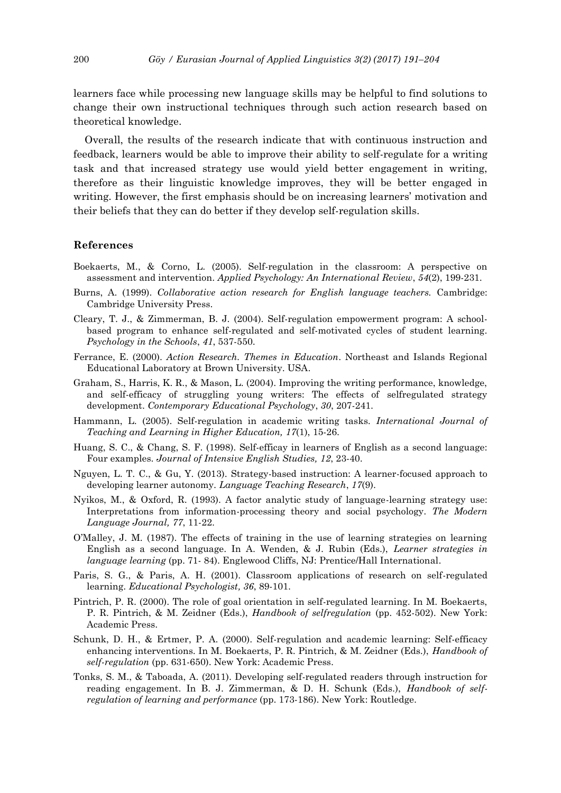learners face while processing new language skills may be helpful to find solutions to change their own instructional techniques through such action research based on theoretical knowledge.

Overall, the results of the research indicate that with continuous instruction and feedback, learners would be able to improve their ability to self-regulate for a writing task and that increased strategy use would yield better engagement in writing, therefore as their linguistic knowledge improves, they will be better engaged in writing. However, the first emphasis should be on increasing learners' motivation and their beliefs that they can do better if they develop self-regulation skills.

## **References**

- Boekaerts, M., & Corno, L. (2005). Self-regulation in the classroom: A perspective on assessment and intervention. *Applied Psychology: An International Review*, *54*(2), 199-231.
- Burns, A. (1999). *Collaborative action research for English language teachers.* Cambridge: Cambridge University Press.
- Cleary, T. J., & Zimmerman, B. J. (2004). Self-regulation empowerment program: A schoolbased program to enhance self-regulated and self-motivated cycles of student learning. *Psychology in the Schools*, *41*, 537-550.
- Ferrance, E. (2000). *Action Research. Themes in Education*. Northeast and Islands Regional Educational Laboratory at Brown University. USA.
- Graham, S., Harris, K. R., & Mason, L. (2004). Improving the writing performance, knowledge, and self-efficacy of struggling young writers: The effects of selfregulated strategy development. *Contemporary Educational Psychology*, *30*, 207-241.
- Hammann, L. (2005). Self-regulation in academic writing tasks. *International Journal of Teaching and Learning in Higher Education, 17*(1), 15-26.
- Huang, S. C., & Chang, S. F. (1998). Self-efficay in learners of English as a second language: Four examples. *Journal of Intensive English Studies, 12*, 23-40.
- Nguyen, L. T. C., & Gu, Y. (2013). Strategy-based instruction: A learner-focused approach to developing learner autonomy*. Language Teaching Research*, *17*(9).
- Nyikos, M., & Oxford, R. (1993). A factor analytic study of language-learning strategy use: Interpretations from information-processing theory and social psychology. *The Modern Language Journal, 77*, 11-22.
- O'Malley, J. M. (1987). The effects of training in the use of learning strategies on learning English as a second language. In A. Wenden, & J. Rubin (Eds.), *Learner strategies in language learning* (pp. 71- 84). Englewood Cliffs, NJ: Prentice/Hall International.
- Paris, S. G., & Paris, A. H. (2001). Classroom applications of research on self-regulated learning. *Educational Psychologist, 36*, 89-101.
- Pintrich, P. R. (2000). The role of goal orientation in self-regulated learning. In M. Boekaerts, P. R. Pintrich, & M. Zeidner (Eds.), *Handbook of selfregulation* (pp. 452-502). New York: Academic Press.
- Schunk, D. H., & Ertmer, P. A. (2000). Self-regulation and academic learning: Self-efficacy enhancing interventions. In M. Boekaerts, P. R. Pintrich, & M. Zeidner (Eds.), *Handbook of self-regulation* (pp. 631-650). New York: Academic Press.
- Tonks, S. M., & Taboada, A. (2011). Developing self-regulated readers through instruction for reading engagement. In B. J. Zimmerman, & D. H. Schunk (Eds.), *Handbook of selfregulation of learning and performance* (pp. 173-186). New York: Routledge.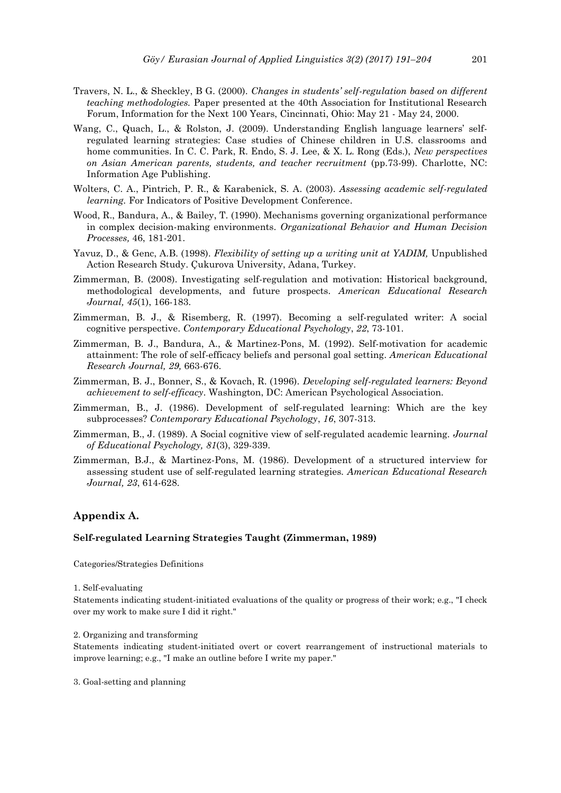- Travers, N. L., & Sheckley, B G. (2000). *Changes in students' self-regulation based on different teaching methodologies.* Paper presented at the 40th Association for Institutional Research Forum, Information for the Next 100 Years, Cincinnati, Ohio: May 21 - May 24, 2000.
- Wang, C., Quach, L., & Rolston, J. (2009). Understanding English language learners' selfregulated learning strategies: Case studies of Chinese children in U.S. classrooms and home communities. In C. C. Park, R. Endo, S. J. Lee, & X. L. Rong (Eds.), *New perspectives on Asian American parents, students, and teacher recruitment* (pp.73-99). Charlotte, NC: Information Age Publishing.
- Wolters, C. A., Pintrich, P. R., & Karabenick, S. A. (2003). *Assessing academic self-regulated learning.* For Indicators of Positive Development Conference.
- Wood, R., Bandura, A., & Bailey, T. (1990). Mechanisms governing organizational performance in complex decision-making environments. *Organizational Behavior and Human Decision Processes,* 46, 181-201.
- Yavuz, D., & Genc, A.B. (1998). *Flexibility of setting up a writing unit at YADIM,* Unpublished Action Research Study. Çukurova University, Adana, Turkey.
- Zimmerman, B. (2008). Investigating self-regulation and motivation: Historical background, methodological developments, and future prospects. *American Educational Research Journal, 45*(1), 166-183.
- Zimmerman, B. J., & Risemberg, R. (1997). Becoming a self-regulated writer: A social cognitive perspective. *Contemporary Educational Psychology*, *22*, 73-101.
- Zimmerman, B. J., Bandura, A., & Martinez-Pons, M. (1992). Self-motivation for academic attainment: The role of self-efficacy beliefs and personal goal setting. *American Educational Research Journal, 29,* 663-676.
- Zimmerman, B. J., Bonner, S., & Kovach, R. (1996). *Developing self-regulated learners: Beyond achievement to self-efficacy*. Washington, DC: American Psychological Association.
- Zimmerman, B., J. (1986). Development of self-regulated learning: Which are the key subprocesses? *Contemporary Educational Psychology*, *16*, 307-313.
- Zimmerman, B., J. (1989). A Social cognitive view of self-regulated academic learning. *Journal of Educational Psychology, 81*(3), 329-339.
- Zimmerman, B.J., & Martinez-Pons, M. (1986). Development of a structured interview for assessing student use of self-regulated learning strategies*. American Educational Research Journal, 23*, 614-628.

#### **Appendix A.**

#### **Self-regulated Learning Strategies Taught (Zimmerman, 1989)**

Categories/Strategies Definitions

#### 1. Self-evaluating

Statements indicating student-initiated evaluations of the quality or progress of their work; e.g., "I check over my work to make sure I did it right."

2. Organizing and transforming

Statements indicating student-initiated overt or covert rearrangement of instructional materials to improve learning; e.g., "I make an outline before I write my paper."

3. Goal-setting and planning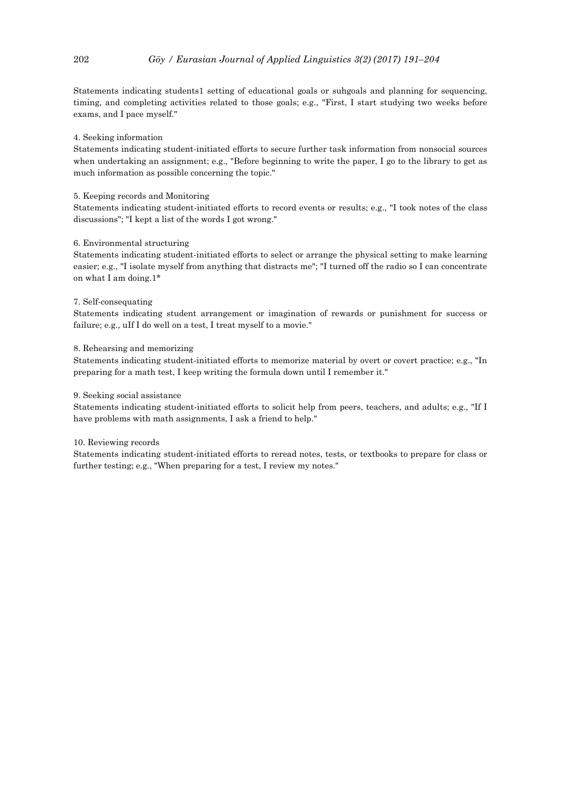Statements indicating students1 setting of educational goals or suhgoals and planning for sequencing, timing, and completing activities related to those goals; e.g., "First, I start studying two weeks before exams, and I pace myself."

#### 4. Seeking information

Statements indicating student-initiated efforts to secure further task information from nonsocial sources when undertaking an assignment; e.g., "Before beginning to write the paper, I go to the library to get as much information as possible concerning the topic."

#### 5. Keeping records and Monitoring

Statements indicating student-initiated efforts to record events or results; e.g., "I took notes of the class discussions"; "I kept a list of the words I got wrong."

#### 6. Environmental structuring

Statements indicating student-initiated efforts to select or arrange the physical setting to make learning easier; e.g., "I isolate myself from anything that distracts me"; "I turned off the radio so I can concentrate on what I am doing.1\*

#### 7. Self-consequating

Statements indicating student arrangement or imagination of rewards or punishment for success or failure; e.g., uIf I do well on a test, I treat myself to a movie."

#### 8. Rehearsing and memorizing

Statements indicating student-initiated efforts to memorize material by overt or covert practice; e.g., "In preparing for a math test, I keep writing the formula down until I remember it."

#### 9. Seeking social assistance

Statements indicating student-initiated efforts to solicit help from peers, teachers, and adults; e.g., "If I have problems with math assignments, I ask a friend to help."

#### 10. Reviewing records

Statements indicating student-initiated efforts to reread notes, tests, or textbooks to prepare for class or further testing; e.g., "When preparing for a test, I review my notes."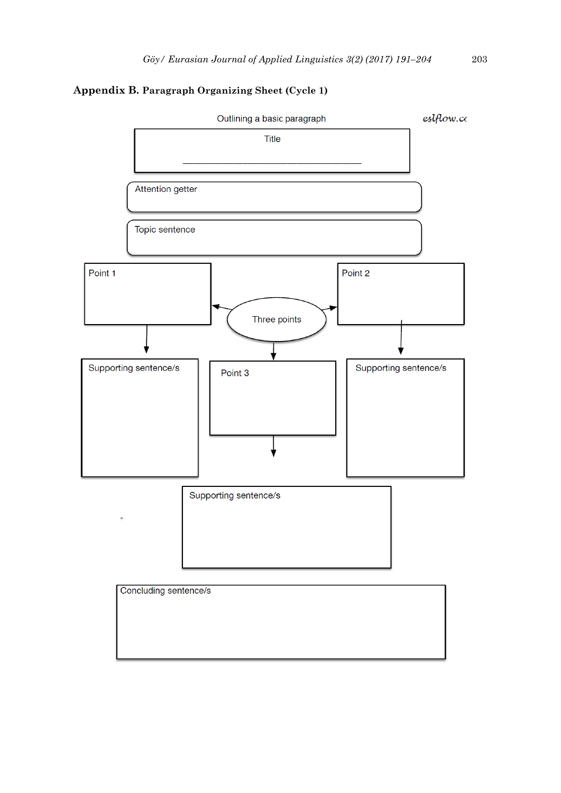# **Appendix B. Paragraph Organizing Sheet (Cycle 1)**